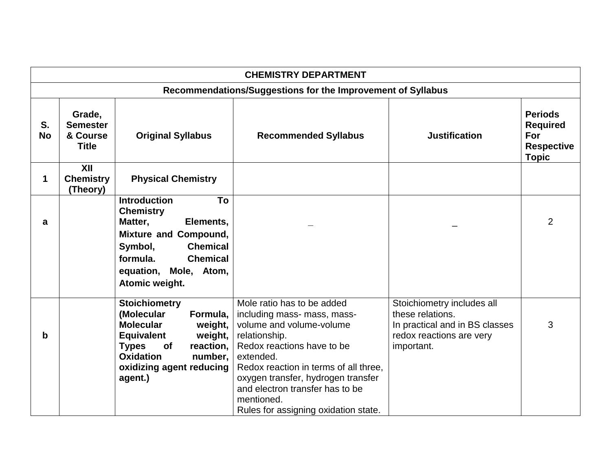| <b>CHEMISTRY DEPARTMENT</b> |                                                             |                                                                                                                                                                                                                        |                                                                                                                                                                                                                                                                                                                           |                                                                                                                            |                                                                               |  |
|-----------------------------|-------------------------------------------------------------|------------------------------------------------------------------------------------------------------------------------------------------------------------------------------------------------------------------------|---------------------------------------------------------------------------------------------------------------------------------------------------------------------------------------------------------------------------------------------------------------------------------------------------------------------------|----------------------------------------------------------------------------------------------------------------------------|-------------------------------------------------------------------------------|--|
|                             | Recommendations/Suggestions for the Improvement of Syllabus |                                                                                                                                                                                                                        |                                                                                                                                                                                                                                                                                                                           |                                                                                                                            |                                                                               |  |
| S.<br><b>No</b>             | Grade,<br><b>Semester</b><br>& Course<br><b>Title</b>       | <b>Original Syllabus</b>                                                                                                                                                                                               | <b>Recommended Syllabus</b>                                                                                                                                                                                                                                                                                               | <b>Justification</b>                                                                                                       | <b>Periods</b><br><b>Required</b><br>For<br><b>Respective</b><br><b>Topic</b> |  |
| 1                           | XII<br><b>Chemistry</b><br>(Theory)                         | <b>Physical Chemistry</b>                                                                                                                                                                                              |                                                                                                                                                                                                                                                                                                                           |                                                                                                                            |                                                                               |  |
| a                           |                                                             | <b>Introduction</b><br>To<br><b>Chemistry</b><br>Matter,<br>Elements,<br><b>Mixture and Compound,</b><br><b>Chemical</b><br>Symbol,<br>formula.<br><b>Chemical</b><br>equation,<br>Mole, Atom,<br>Atomic weight.       |                                                                                                                                                                                                                                                                                                                           |                                                                                                                            | $\overline{2}$                                                                |  |
| b                           |                                                             | Stoichiometry<br>(Molecular<br>Formula,<br><b>Molecular</b><br>weight,<br><b>Equivalent</b><br>weight,<br><b>Types</b><br>reaction,<br><b>of</b><br><b>Oxidation</b><br>number.<br>oxidizing agent reducing<br>agent.) | Mole ratio has to be added<br>including mass- mass, mass-<br>volume and volume-volume<br>relationship.<br>Redox reactions have to be<br>extended.<br>Redox reaction in terms of all three,<br>oxygen transfer, hydrogen transfer<br>and electron transfer has to be<br>mentioned.<br>Rules for assigning oxidation state. | Stoichiometry includes all<br>these relations.<br>In practical and in BS classes<br>redox reactions are very<br>important. | 3                                                                             |  |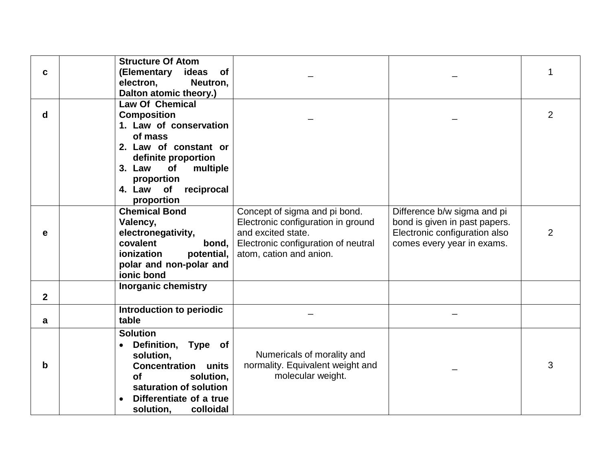| C            | <b>Structure Of Atom</b><br>(Elementary ideas<br><b>of</b> |                                     |                               | 1              |
|--------------|------------------------------------------------------------|-------------------------------------|-------------------------------|----------------|
|              | Neutron,<br>electron,                                      |                                     |                               |                |
|              | Dalton atomic theory.)                                     |                                     |                               |                |
|              | <b>Law Of Chemical</b>                                     |                                     |                               |                |
| d            | <b>Composition</b>                                         |                                     |                               | 2              |
|              | 1. Law of conservation                                     |                                     |                               |                |
|              | of mass                                                    |                                     |                               |                |
|              | 2. Law of constant or                                      |                                     |                               |                |
|              | definite proportion                                        |                                     |                               |                |
|              | 3. Law<br>of<br>multiple                                   |                                     |                               |                |
|              | proportion                                                 |                                     |                               |                |
|              | of<br>reciprocal<br>4. Law                                 |                                     |                               |                |
|              | proportion                                                 |                                     |                               |                |
|              | <b>Chemical Bond</b>                                       | Concept of sigma and pi bond.       | Difference b/w sigma and pi   |                |
|              | Valency,                                                   | Electronic configuration in ground  | bond is given in past papers. |                |
| е            | electronegativity,                                         | and excited state.                  | Electronic configuration also | $\overline{2}$ |
|              | covalent<br>bond,                                          | Electronic configuration of neutral | comes every year in exams.    |                |
|              | ionization<br>potential,                                   | atom, cation and anion.             |                               |                |
|              | polar and non-polar and                                    |                                     |                               |                |
|              | ionic bond                                                 |                                     |                               |                |
|              | <b>Inorganic chemistry</b>                                 |                                     |                               |                |
| $\mathbf{2}$ |                                                            |                                     |                               |                |
|              | Introduction to periodic                                   |                                     |                               |                |
| a            | table                                                      |                                     |                               |                |
|              | <b>Solution</b>                                            |                                     |                               |                |
|              | Definition, Type of<br>٠                                   |                                     |                               |                |
|              | solution,                                                  | Numericals of morality and          |                               |                |
| b            | <b>Concentration units</b>                                 | normality. Equivalent weight and    |                               | 3              |
|              | <b>of</b><br>solution,                                     | molecular weight.                   |                               |                |
|              | saturation of solution                                     |                                     |                               |                |
|              | Differentiate of a true                                    |                                     |                               |                |
|              | solution,<br>colloidal                                     |                                     |                               |                |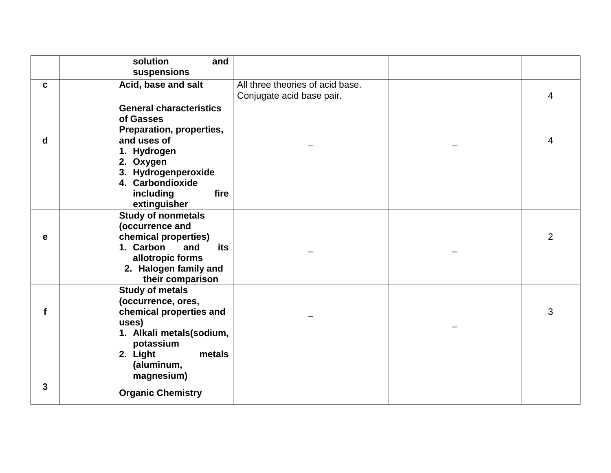|                         | solution<br>and                |                                  |                |
|-------------------------|--------------------------------|----------------------------------|----------------|
|                         | suspensions                    |                                  |                |
| C                       | Acid, base and salt            | All three theories of acid base. |                |
|                         |                                | Conjugate acid base pair.        | 4              |
|                         | <b>General characteristics</b> |                                  |                |
|                         | of Gasses                      |                                  |                |
|                         | Preparation, properties,       |                                  |                |
| d                       | and uses of                    |                                  | $\overline{4}$ |
|                         | 1. Hydrogen                    |                                  |                |
|                         | 2. Oxygen                      |                                  |                |
|                         | 3. Hydrogenperoxide            |                                  |                |
|                         | 4. Carbondioxide               |                                  |                |
|                         | including<br>fire              |                                  |                |
|                         | extinguisher                   |                                  |                |
|                         | <b>Study of nonmetals</b>      |                                  |                |
|                         | (occurrence and                |                                  |                |
| е                       | chemical properties)           |                                  | 2              |
|                         | 1. Carbon<br>and<br>its        |                                  |                |
|                         | allotropic forms               |                                  |                |
|                         | 2. Halogen family and          |                                  |                |
|                         | their comparison               |                                  |                |
|                         | <b>Study of metals</b>         |                                  |                |
|                         | (occurrence, ores,             |                                  |                |
| f                       | chemical properties and        |                                  | 3              |
|                         | uses)                          |                                  |                |
|                         | 1. Alkali metals(sodium,       |                                  |                |
|                         | potassium                      |                                  |                |
|                         | 2. Light<br>metals             |                                  |                |
|                         | (aluminum,                     |                                  |                |
| $\overline{\mathbf{3}}$ | magnesium)                     |                                  |                |
|                         | <b>Organic Chemistry</b>       |                                  |                |
|                         |                                |                                  |                |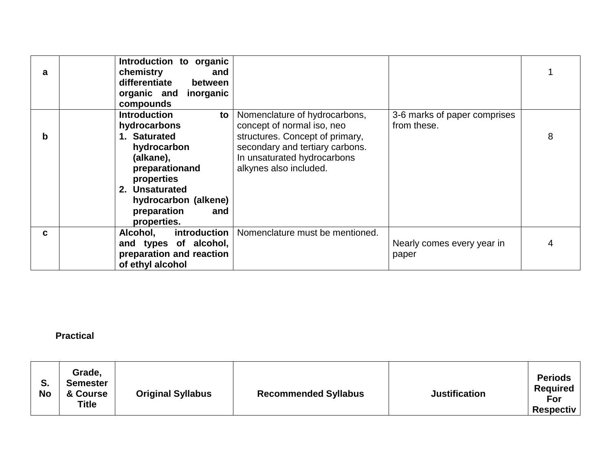| a | Introduction to organic<br>chemistry<br>and<br>differentiate<br>between<br>organic and inorganic<br>compounds                                           |                                                                                                                             |                                             |   |
|---|---------------------------------------------------------------------------------------------------------------------------------------------------------|-----------------------------------------------------------------------------------------------------------------------------|---------------------------------------------|---|
|   | <b>Introduction</b><br>to<br>hydrocarbons                                                                                                               | Nomenclature of hydrocarbons,<br>concept of normal iso, neo                                                                 | 3-6 marks of paper comprises<br>from these. |   |
| b | 1. Saturated<br>hydrocarbon<br>(alkane),<br>preparationand<br>properties<br>2. Unsaturated<br>hydrocarbon (alkene)<br>preparation<br>and<br>properties. | structures. Concept of primary,<br>secondary and tertiary carbons.<br>In unsaturated hydrocarbons<br>alkynes also included. |                                             | 8 |
| C | introduction<br>Alcohol,<br>and types of alcohol,<br>preparation and reaction<br>of ethyl alcohol                                                       | Nomenclature must be mentioned.                                                                                             | Nearly comes every year in<br>paper         |   |

**Practical**

| S.<br><b>No</b> | Grade,<br><b>Semester</b><br>& Course<br><b>Title</b> | <b>Original Syllabus</b> | <b>Recommended Syllabus</b> | <b>Justification</b> | <b>Periods</b><br><b>Required</b><br>For<br><b>Respectiv</b> |
|-----------------|-------------------------------------------------------|--------------------------|-----------------------------|----------------------|--------------------------------------------------------------|
|-----------------|-------------------------------------------------------|--------------------------|-----------------------------|----------------------|--------------------------------------------------------------|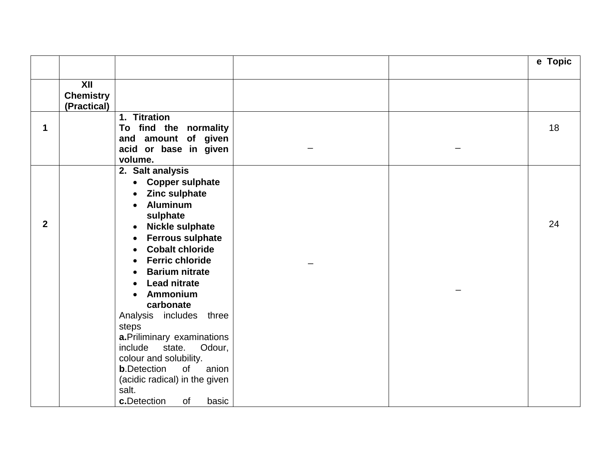|              |                  |                                     |  | e Topic |
|--------------|------------------|-------------------------------------|--|---------|
|              |                  |                                     |  |         |
|              | XII              |                                     |  |         |
|              | <b>Chemistry</b> |                                     |  |         |
|              | (Practical)      |                                     |  |         |
|              |                  | 1. Titration                        |  |         |
| 1            |                  | To find the normality               |  | 18      |
|              |                  | and amount of given                 |  |         |
|              |                  | acid or base in given               |  |         |
|              |                  | volume.                             |  |         |
|              |                  | 2. Salt analysis                    |  |         |
|              |                  | <b>Copper sulphate</b><br>$\bullet$ |  |         |
|              |                  | <b>Zinc sulphate</b>                |  |         |
|              |                  | <b>Aluminum</b>                     |  |         |
| $\mathbf{2}$ |                  | sulphate                            |  | 24      |
|              |                  | <b>Nickle sulphate</b><br>$\bullet$ |  |         |
|              |                  | <b>Ferrous sulphate</b>             |  |         |
|              |                  | <b>Cobalt chloride</b>              |  |         |
|              |                  | <b>Ferric chloride</b>              |  |         |
|              |                  | <b>Barium nitrate</b>               |  |         |
|              |                  | <b>Lead nitrate</b>                 |  |         |
|              |                  | Ammonium                            |  |         |
|              |                  | carbonate                           |  |         |
|              |                  | Analysis includes three             |  |         |
|              |                  | steps                               |  |         |
|              |                  | a. Priliminary examinations         |  |         |
|              |                  | Odour,<br>include<br>state.         |  |         |
|              |                  | colour and solubility.              |  |         |
|              |                  | <b>b</b> .Detection<br>of<br>anion  |  |         |
|              |                  | (acidic radical) in the given       |  |         |
|              |                  | salt.                               |  |         |
|              |                  | c.Detection<br>0f<br>basic          |  |         |